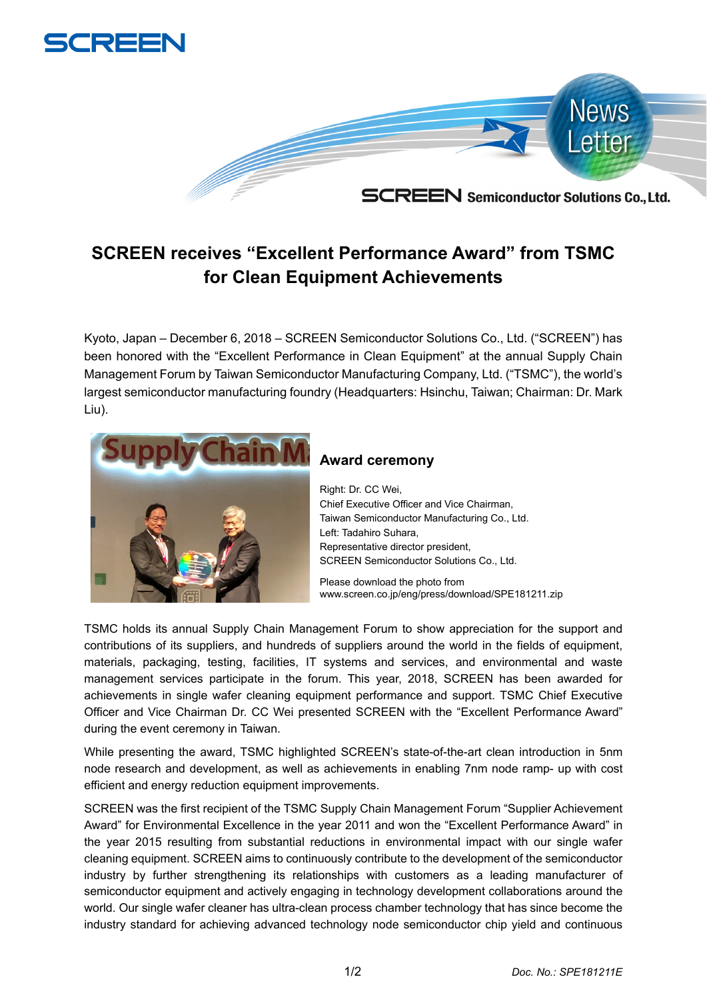

## **SCREEN receives "Excellent Performance Award" from TSMC for Clean Equipment Achievements**

Kyoto, Japan – December 6, 2018 – SCREEN Semiconductor Solutions Co., Ltd. ("SCREEN") has been honored with the "Excellent Performance in Clean Equipment" at the annual Supply Chain Management Forum by Taiwan Semiconductor Manufacturing Company, Ltd. ("TSMC"), the world's largest semiconductor manufacturing foundry (Headquarters: Hsinchu, Taiwan; Chairman: Dr. Mark Liu).



## **Award ceremony**

Right: Dr. CC Wei, Chief Executive Officer and Vice Chairman, Taiwan Semiconductor Manufacturing Co., Ltd. Left: Tadahiro Suhara, Representative director president, SCREEN Semiconductor Solutions Co., Ltd.

Please download the photo from www.screen.co.jp/eng/press/download/SPE181211.zip

TSMC holds its annual Supply Chain Management Forum to show appreciation for the support and contributions of its suppliers, and hundreds of suppliers around the world in the fields of equipment, materials, packaging, testing, facilities, IT systems and services, and environmental and waste management services participate in the forum. This year, 2018, SCREEN has been awarded for achievements in single wafer cleaning equipment performance and support. TSMC Chief Executive Officer and Vice Chairman Dr. CC Wei presented SCREEN with the "Excellent Performance Award" during the event ceremony in Taiwan.

While presenting the award, TSMC highlighted SCREEN's state-of-the-art clean introduction in 5nm node research and development, as well as achievements in enabling 7nm node ramp- up with cost efficient and energy reduction equipment improvements.

SCREEN was the first recipient of the TSMC Supply Chain Management Forum "Supplier Achievement Award" for Environmental Excellence in the year 2011 and won the "Excellent Performance Award" in the year 2015 resulting from substantial reductions in environmental impact with our single wafer cleaning equipment. SCREEN aims to continuously contribute to the development of the semiconductor industry by further strengthening its relationships with customers as a leading manufacturer of semiconductor equipment and actively engaging in technology development collaborations around the world. Our single wafer cleaner has ultra-clean process chamber technology that has since become the industry standard for achieving advanced technology node semiconductor chip yield and continuous